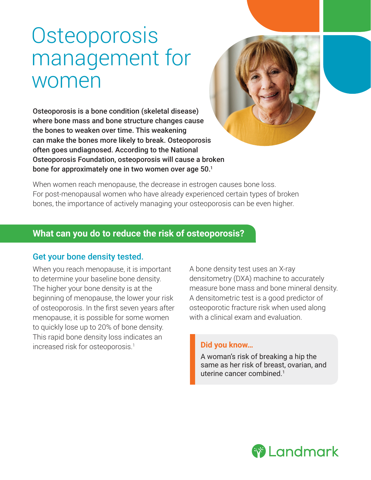# **Osteoporosis** management for women

Osteoporosis is a bone condition (skeletal disease) where bone mass and bone structure changes cause the bones to weaken over time. This weakening can make the bones more likely to break. Osteoporosis often goes undiagnosed. According to the National Osteoporosis Foundation, osteoporosis will cause a broken bone for approximately one in two women over age 50.<sup>1</sup>



When women reach menopause, the decrease in estrogen causes bone loss. For post-menopausal women who have already experienced certain types of broken bones, the importance of actively managing your osteoporosis can be even higher.

# **What can you do to reduce the risk of osteoporosis?**

## Get your bone density tested.

When you reach menopause, it is important to determine your baseline bone density. The higher your bone density is at the beginning of menopause, the lower your risk of osteoporosis. In the first seven years after menopause, it is possible for some women to quickly lose up to 20% of bone density. This rapid bone density loss indicates an increased risk for osteoporosis.<sup>1</sup>

A bone density test uses an X-ray densitometry (DXA) machine to accurately measure bone mass and bone mineral density. A densitometric test is a good predictor of osteoporotic fracture risk when used along with a clinical exam and evaluation.

#### **Did you know…**

A woman's risk of breaking a hip the same as her risk of breast, ovarian, and uterine cancer combined.<sup>1</sup>